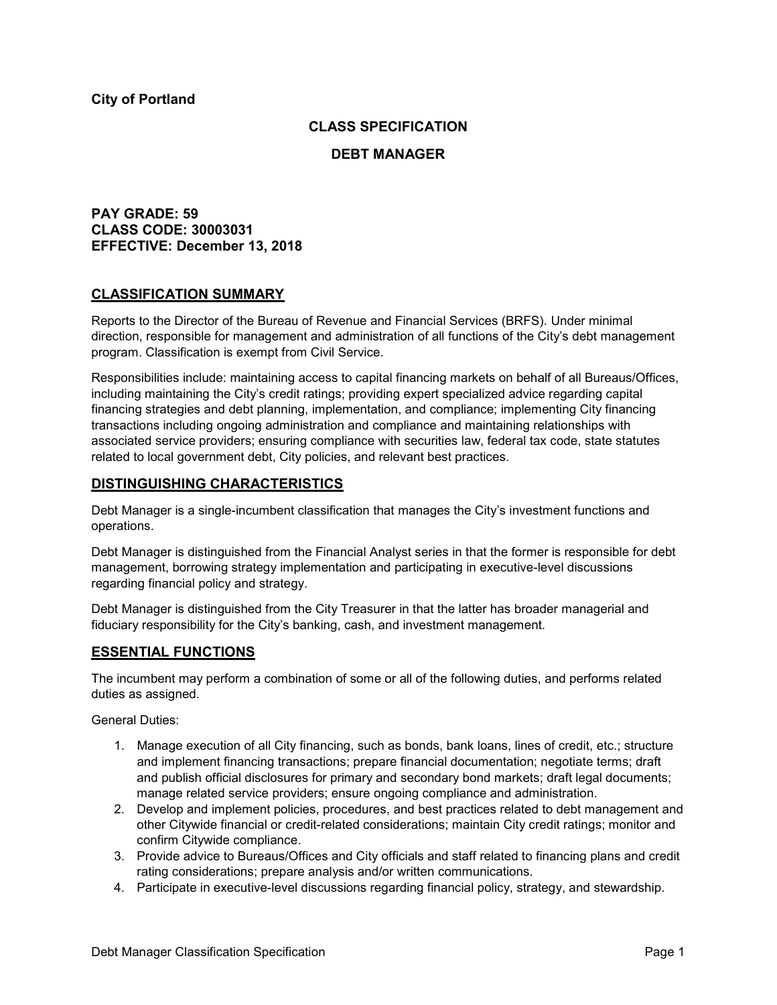## **CLASS SPECIFICATION**

#### **DEBT MANAGER**

## **PAY GRADE: 59 CLASS CODE: 30003031 EFFECTIVE: December 13, 2018**

### **CLASSIFICATION SUMMARY**

Reports to the Director of the Bureau of Revenue and Financial Services (BRFS). Under minimal direction, responsible for management and administration of all functions of the City's debt management program. Classification is exempt from Civil Service.

Responsibilities include: maintaining access to capital financing markets on behalf of all Bureaus/Offices, including maintaining the City's credit ratings; providing expert specialized advice regarding capital financing strategies and debt planning, implementation, and compliance; implementing City financing transactions including ongoing administration and compliance and maintaining relationships with associated service providers; ensuring compliance with securities law, federal tax code, state statutes related to local government debt, City policies, and relevant best practices.

### **DISTINGUISHING CHARACTERISTICS**

Debt Manager is a single-incumbent classification that manages the City's investment functions and operations.

Debt Manager is distinguished from the Financial Analyst series in that the former is responsible for debt management, borrowing strategy implementation and participating in executive-level discussions regarding financial policy and strategy.

Debt Manager is distinguished from the City Treasurer in that the latter has broader managerial and fiduciary responsibility for the City's banking, cash, and investment management.

### **ESSENTIAL FUNCTIONS**

The incumbent may perform a combination of some or all of the following duties, and performs related duties as assigned.

General Duties:

- 1. Manage execution of all City financing, such as bonds, bank loans, lines of credit, etc.; structure and implement financing transactions; prepare financial documentation; negotiate terms; draft and publish official disclosures for primary and secondary bond markets; draft legal documents; manage related service providers; ensure ongoing compliance and administration.
- 2. Develop and implement policies, procedures, and best practices related to debt management and other Citywide financial or credit-related considerations; maintain City credit ratings; monitor and confirm Citywide compliance.
- 3. Provide advice to Bureaus/Offices and City officials and staff related to financing plans and credit rating considerations; prepare analysis and/or written communications.
- 4. Participate in executive-level discussions regarding financial policy, strategy, and stewardship.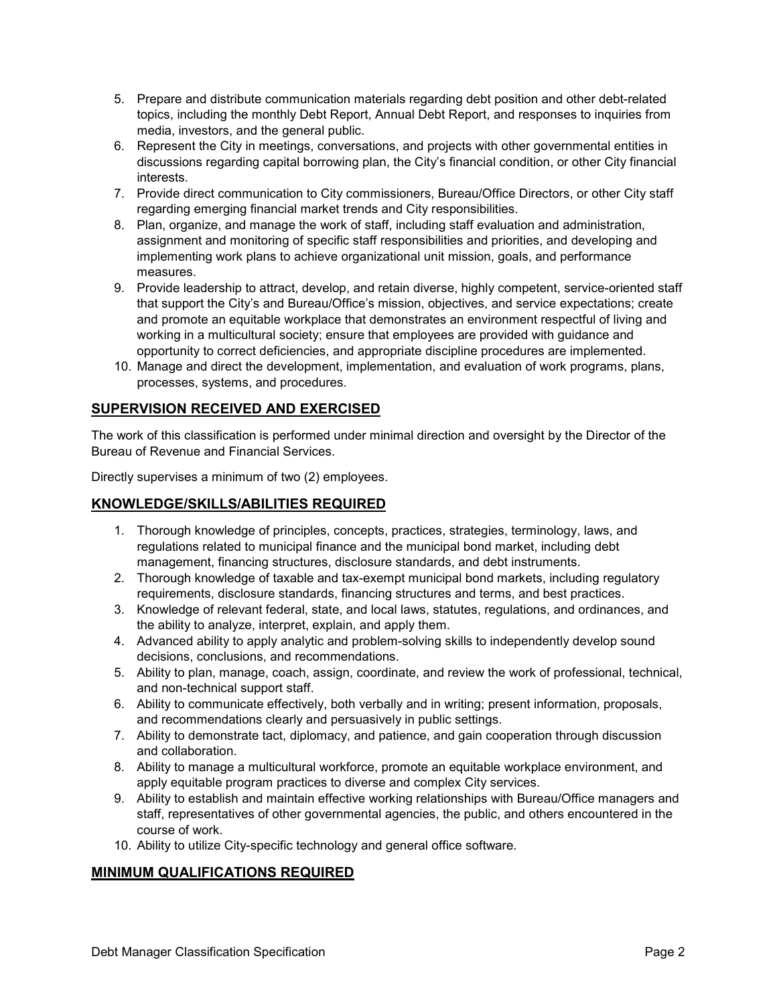- 5. Prepare and distribute communication materials regarding debt position and other debt-related topics, including the monthly Debt Report, Annual Debt Report, and responses to inquiries from media, investors, and the general public.
- 6. Represent the City in meetings, conversations, and projects with other governmental entities in discussions regarding capital borrowing plan, the City's financial condition, or other City financial interests.
- 7. Provide direct communication to City commissioners, Bureau/Office Directors, or other City staff regarding emerging financial market trends and City responsibilities.
- 8. Plan, organize, and manage the work of staff, including staff evaluation and administration, assignment and monitoring of specific staff responsibilities and priorities, and developing and implementing work plans to achieve organizational unit mission, goals, and performance measures.
- 9. Provide leadership to attract, develop, and retain diverse, highly competent, service-oriented staff that support the City's and Bureau/Office's mission, objectives, and service expectations; create and promote an equitable workplace that demonstrates an environment respectful of living and working in a multicultural society; ensure that employees are provided with guidance and opportunity to correct deficiencies, and appropriate discipline procedures are implemented.
- 10. Manage and direct the development, implementation, and evaluation of work programs, plans, processes, systems, and procedures.

# **SUPERVISION RECEIVED AND EXERCISED**

The work of this classification is performed under minimal direction and oversight by the Director of the Bureau of Revenue and Financial Services.

Directly supervises a minimum of two (2) employees.

# **KNOWLEDGE/SKILLS/ABILITIES REQUIRED**

- 1. Thorough knowledge of principles, concepts, practices, strategies, terminology, laws, and regulations related to municipal finance and the municipal bond market, including debt management, financing structures, disclosure standards, and debt instruments.
- 2. Thorough knowledge of taxable and tax-exempt municipal bond markets, including regulatory requirements, disclosure standards, financing structures and terms, and best practices.
- 3. Knowledge of relevant federal, state, and local laws, statutes, regulations, and ordinances, and the ability to analyze, interpret, explain, and apply them.
- 4. Advanced ability to apply analytic and problem-solving skills to independently develop sound decisions, conclusions, and recommendations.
- 5. Ability to plan, manage, coach, assign, coordinate, and review the work of professional, technical, and non-technical support staff.
- 6. Ability to communicate effectively, both verbally and in writing; present information, proposals, and recommendations clearly and persuasively in public settings.
- 7. Ability to demonstrate tact, diplomacy, and patience, and gain cooperation through discussion and collaboration.
- 8. Ability to manage a multicultural workforce, promote an equitable workplace environment, and apply equitable program practices to diverse and complex City services.
- 9. Ability to establish and maintain effective working relationships with Bureau/Office managers and staff, representatives of other governmental agencies, the public, and others encountered in the course of work.
- 10. Ability to utilize City-specific technology and general office software.

# **MINIMUM QUALIFICATIONS REQUIRED**